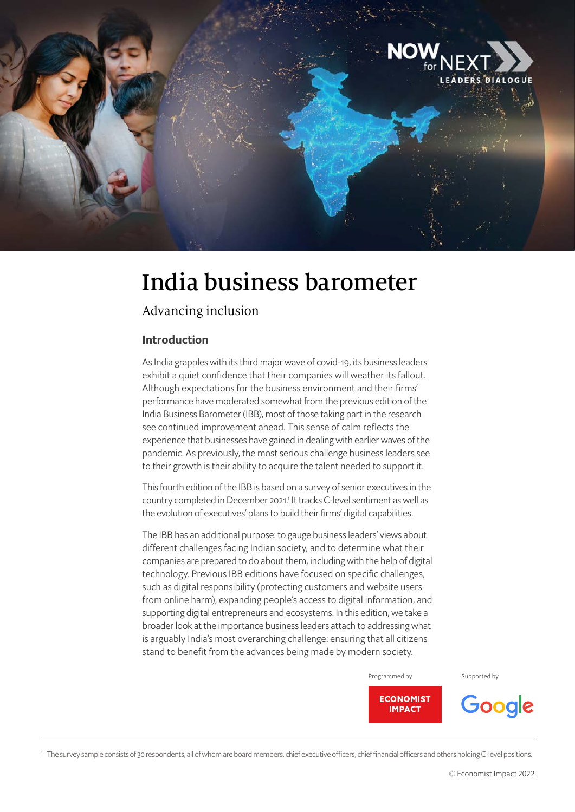

# India business barometer

## Advancing inclusion

### Introduction

As India grapples with its third major wave of covid-19, its business leaders exhibit a quiet confidence that their companies will weather its fallout. Although expectations for the business environment and their firms' performance have moderated somewhat from the previous edition of the India Business Barometer (IBB), most of those taking part in the research see continued improvement ahead. This sense of calm reflects the experience that businesses have gained in dealing with earlier waves of the pandemic. As previously, the most serious challenge business leaders see to their growth is their ability to acquire the talent needed to support it.

This fourth edition of the IBB is based on a survey of senior executives in the country completed in December 2021.<sup>1</sup> It tracks C-level sentiment as well as the evolution of executives' plans to build their firms' digital capabilities.

The IBB has an additional purpose: to gauge business leaders' views about different challenges facing Indian society, and to determine what their companies are prepared to do about them, including with the help of digital technology. Previous IBB editions have focused on specific challenges, such as digital responsibility (protecting customers and website users from online harm), expanding people's access to digital information, and supporting digital entrepreneurs and ecosystems. In this edition, we take a broader look at the importance business leaders attach to addressing what is arguably India's most overarching challenge: ensuring that all citizens stand to benefit from the advances being made by modern society.

Programmed by Supported by



Google

1 The survey sample consists of 30 respondents, all of whom are board members, chief executive officers, chief financial officers and others holding C-level positions.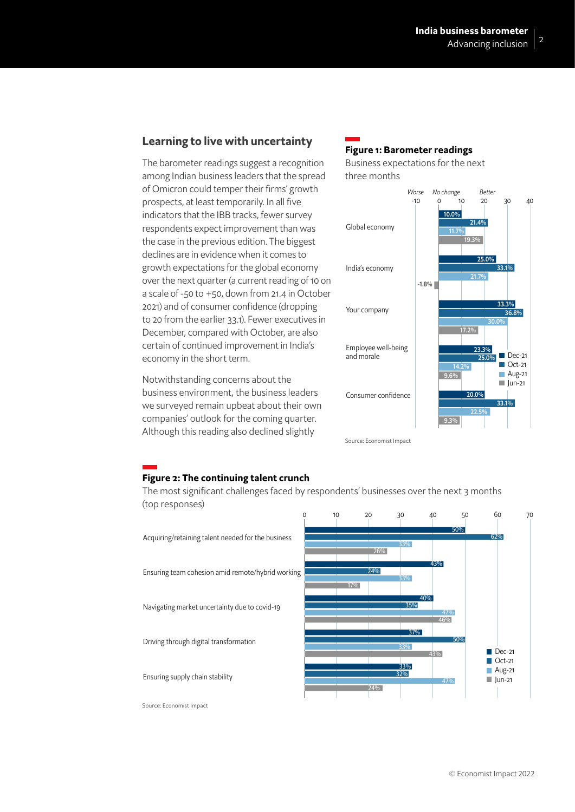## Learning to live with uncertainty

The barometer readings suggest a recognition among Indian business leaders that the spread of Omicron could temper their firms' growth prospects, at least temporarily. In all five indicators that the IBB tracks, fewer survey respondents expect improvement than was the case in the previous edition. The biggest declines are in evidence when it comes to growth expectations for the global economy over the next quarter (a current reading of 10 on a scale of -50 to +50, down from 21.4 in October 2021) and of consumer confidence (dropping to 20 from the earlier 33.1). Fewer executives in December, compared with October, are also certain of continued improvement in India's economy in the short term.

Notwithstanding concerns about the business environment, the business leaders we surveyed remain upbeat about their own companies' outlook for the coming quarter. Although this reading also declined slightly

## Figure 1: Barometer readings

Business expectations for the next three months



#### Figure 2: The continuing talent crunch

The most significant challenges faced by respondents' businesses over the next 3 months (top responses)



Source: Economist Impact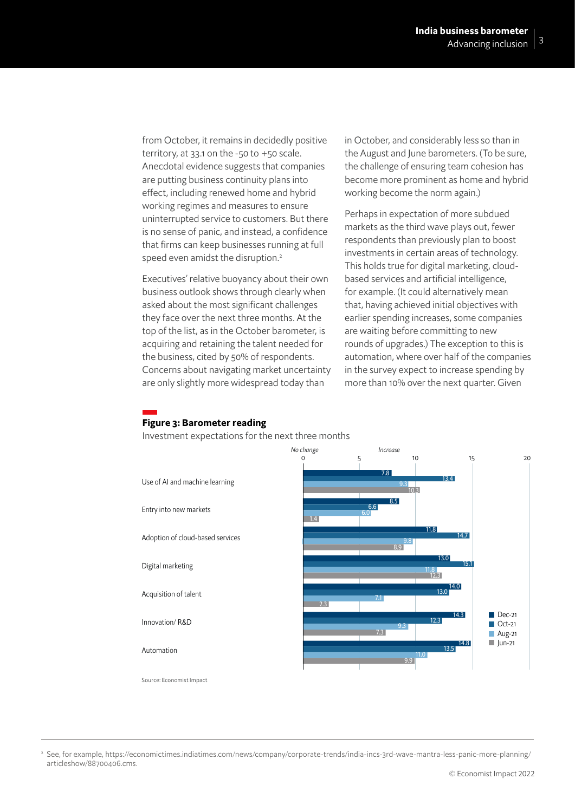from October, it remains in decidedly positive territory, at  $33.1$  on the -50 to +50 scale. Anecdotal evidence suggests that companies are putting business continuity plans into effect, including renewed home and hybrid working regimes and measures to ensure uninterrupted service to customers. But there is no sense of panic, and instead, a confidence that firms can keep businesses running at full speed even amidst the disruption.<sup>2</sup>

Executives' relative buoyancy about their own business outlook shows through clearly when asked about the most significant challenges they face over the next three months. At the top of the list, as in the October barometer, is acquiring and retaining the talent needed for the business, cited by 50% of respondents. Concerns about navigating market uncertainty are only slightly more widespread today than

in October, and considerably less so than in the August and June barometers. (To be sure, the challenge of ensuring team cohesion has become more prominent as home and hybrid working become the norm again.)

Perhaps in expectation of more subdued markets as the third wave plays out, fewer respondents than previously plan to boost investments in certain areas of technology. This holds true for digital marketing, cloudbased services and artificial intelligence, for example. (It could alternatively mean that, having achieved initial objectives with earlier spending increases, some companies are waiting before committing to new rounds of upgrades.) The exception to this is automation, where over half of the companies in the survey expect to increase spending by more than 10% over the next quarter. Given



## Figure 3: Barometer reading

Investment expectations for the next three months

<sup>&</sup>lt;sup>2</sup> See, for example, https://economictimes.indiatimes.com/news/company/corporate-trends/india-incs-3rd-wave-mantra-less-panic-more-planning/ articleshow/88700406.cms.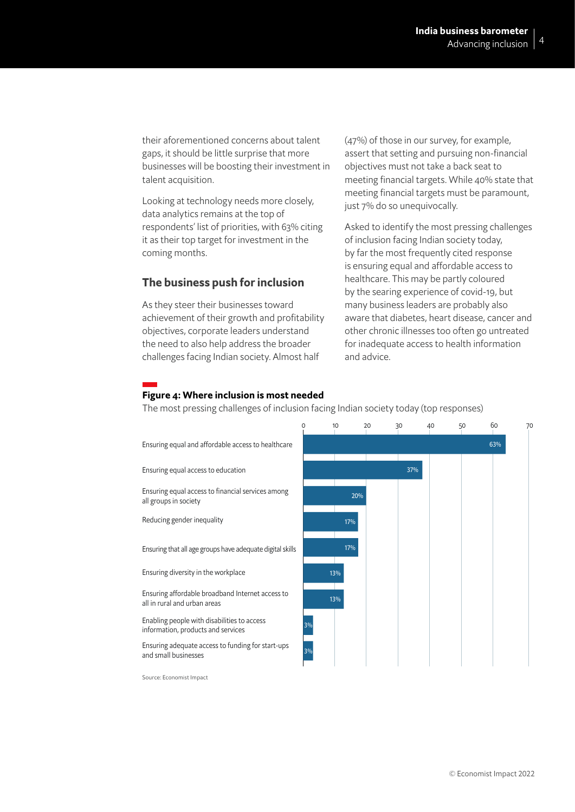their aforementioned concerns about talent gaps, it should be little surprise that more businesses will be boosting their investment in talent acquisition.

Looking at technology needs more closely, data analytics remains at the top of respondents' list of priorities, with 63% citing it as their top target for investment in the coming months.

### The business push for inclusion

As they steer their businesses toward achievement of their growth and profitability objectives, corporate leaders understand the need to also help address the broader challenges facing Indian society. Almost half

(47%) of those in our survey, for example, assert that setting and pursuing non-financial objectives must not take a back seat to meeting financial targets. While 40% state that meeting financial targets must be paramount, just 7% do so unequivocally.

Asked to identify the most pressing challenges of inclusion facing Indian society today, by far the most frequently cited response is ensuring equal and affordable access to healthcare. This may be partly coloured by the searing experience of covid-19, but many business leaders are probably also aware that diabetes, heart disease, cancer and other chronic illnesses too often go untreated for inadequate access to health information and advice.

#### Figure 4: Where inclusion is most needed

The most pressing challenges of inclusion facing Indian society today (top responses)



Source: Economist Impact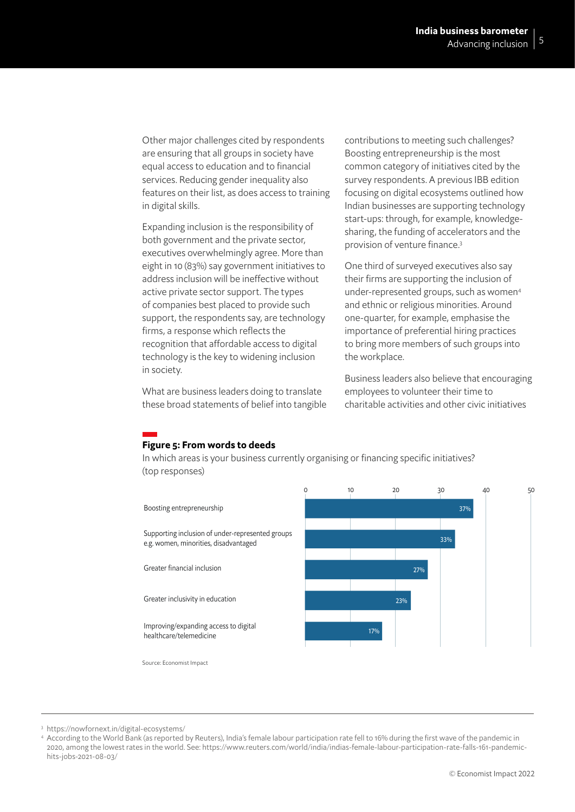Other major challenges cited by respondents are ensuring that all groups in society have equal access to education and to financial services. Reducing gender inequality also features on their list, as does access to training in digital skills.

Expanding inclusion is the responsibility of both government and the private sector, executives overwhelmingly agree. More than eight in 10 (83%) say government initiatives to address inclusion will be ineffective without active private sector support. The types of companies best placed to provide such support, the respondents say, are technology firms, a response which reflects the recognition that affordable access to digital technology is the key to widening inclusion in society.

What are business leaders doing to translate these broad statements of belief into tangible contributions to meeting such challenges? Boosting entrepreneurship is the most common category of initiatives cited by the survey respondents. A previous IBB edition focusing on digital ecosystems outlined how Indian businesses are supporting technology start-ups: through, for example, knowledgesharing, the funding of accelerators and the provision of venture finance.3

One third of surveyed executives also say their firms are supporting the inclusion of under-represented groups, such as women<sup>4</sup> and ethnic or religious minorities. Around one-quarter, for example, emphasise the importance of preferential hiring practices to bring more members of such groups into the workplace.

Business leaders also believe that encouraging employees to volunteer their time to charitable activities and other civic initiatives

#### Figure 5: From words to deeds

In which areas is your business currently organising or financing specific initiatives? (top responses)



<sup>3</sup> https://nowfornext.in/digital-ecosystems/

<sup>4</sup> According to the World Bank (as reported by Reuters), India's female labour participation rate fell to 16% during the first wave of the pandemic in 2020, among the lowest rates in the world. See: https://www.reuters.com/world/india/indias-female-labour-participation-rate-falls-161-pandemichits-jobs-2021-08-03/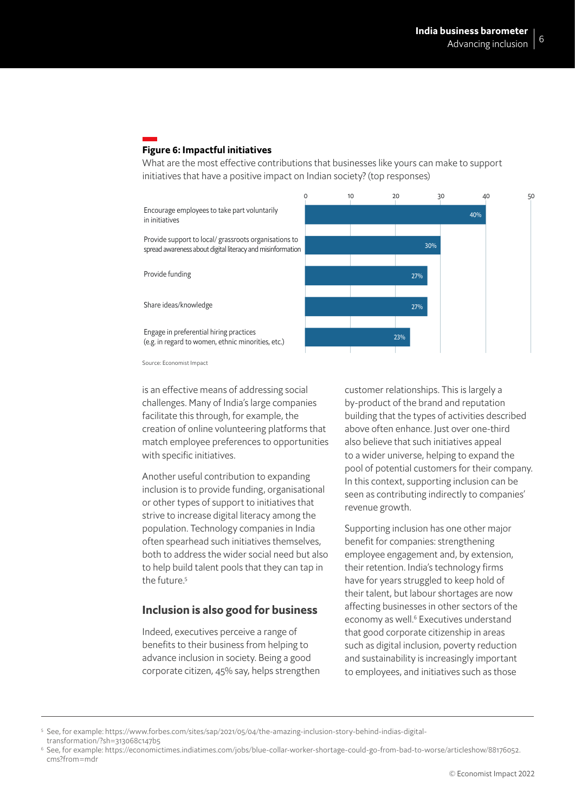## Figure 6: Impactful initiatives

What are the most effective contributions that businesses like yours can make to support initiatives that have a positive impact on Indian society? (top responses)



is an effective means of addressing social challenges. Many of India's large companies facilitate this through, for example, the creation of online volunteering platforms that match employee preferences to opportunities with specific initiatives.

Another useful contribution to expanding inclusion is to provide funding, organisational or other types of support to initiatives that strive to increase digital literacy among the population. Technology companies in India often spearhead such initiatives themselves, both to address the wider social need but also to help build talent pools that they can tap in the future.<sup>5</sup>

## Inclusion is also good for business

Indeed, executives perceive a range of benefits to their business from helping to advance inclusion in society. Being a good corporate citizen, 45% say, helps strengthen customer relationships. This is largely a by-product of the brand and reputation building that the types of activities described above often enhance. Just over one-third also believe that such initiatives appeal to a wider universe, helping to expand the pool of potential customers for their company. In this context, supporting inclusion can be seen as contributing indirectly to companies' revenue growth.

Supporting inclusion has one other major benefit for companies: strengthening employee engagement and, by extension, their retention. India's technology firms have for years struggled to keep hold of their talent, but labour shortages are now affecting businesses in other sectors of the economy as well.<sup>6</sup> Executives understand that good corporate citizenship in areas such as digital inclusion, poverty reduction and sustainability is increasingly important to employees, and initiatives such as those

<sup>5</sup> See, for example: https://www.forbes.com/sites/sap/2021/05/04/the-amazing-inclusion-story-behind-indias-digitaltransformation/?sh=313068c147b5

<sup>6</sup> See, for example: https://economictimes.indiatimes.com/jobs/blue-collar-worker-shortage-could-go-from-bad-to-worse/articleshow/88176052. cms?from=mdr